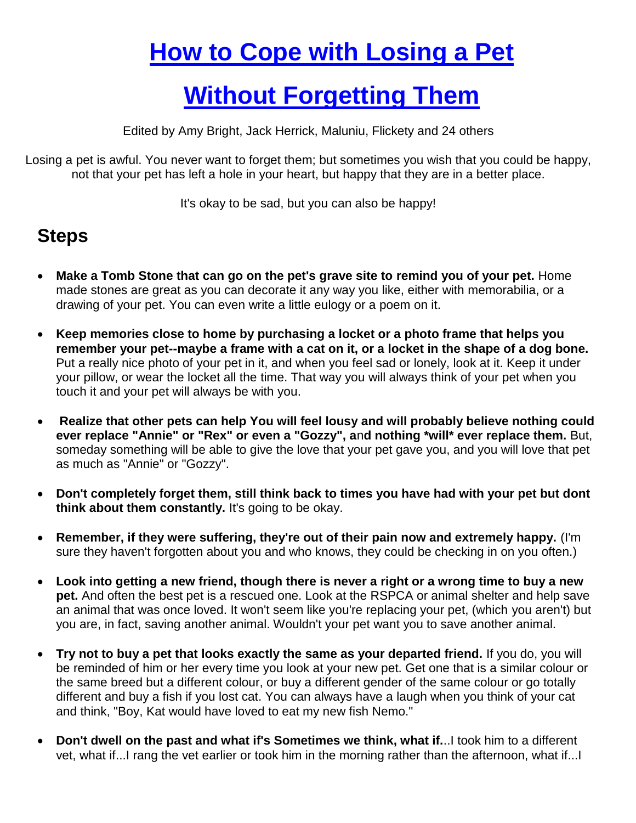## **[How to Cope with](http://www.wikihow.com/Get-over-Losing-a-Pet-Without-Forgetting-Them) Losing a Pet**

## **[Without Forgetting Them](http://www.wikihow.com/Get-over-Losing-a-Pet-Without-Forgetting-Them)**

Edited by Amy Bright, Jack Herrick, Maluniu, Flickety and 24 others

Losing a pet is awful. You never want to forget them; but sometimes you wish that you could be happy, not that your pet has left a hole in your heart, but happy that they are in a better place.

It's okay to be sad, but you can also be happy!

## **Steps**

- **Make a Tomb Stone that can go on the pet's grave site to remind you of your pet.** Home made stones are great as you can decorate it any way you like, either with memorabilia, or a drawing of your pet. You can even write a little eulogy or a poem on it.
- **Keep memories close to home by purchasing a locket or a photo frame that helps you remember your pet--maybe a frame with a cat on it, or a locket in the shape of a dog bone.** Put a really nice photo of your pet in it, and when you feel sad or lonely, look at it. Keep it under your pillow, or wear the locket all the time. That way you will always think of your pet when you touch it and your pet will always be with you.
- **Realize that other pets can help You will feel lousy and will probably believe nothing could ever replace "Annie" or "Rex" or even a "Gozzy", a**n**d nothing \*will\* ever replace them.** But, someday something will be able to give the love that your pet gave you, and you will love that pet as much as "Annie" or "Gozzy".
- **Don't completely forget them, still think back to times you have had with your pet but dont think about them constantly.** It's going to be okay.
- **Remember, if they were suffering, they're out of their pain now and extremely happy.** (I'm sure they haven't forgotten about you and who knows, they could be checking in on you often.)
- **Look into getting a new friend, though there is never a right or a wrong time to buy a new pet.** And often the best pet is a rescued one. Look at the RSPCA or animal shelter and help save an animal that was once loved. It won't seem like you're replacing your pet, (which you aren't) but you are, in fact, saving another animal. Wouldn't your pet want you to save another animal.
- **Try not to buy a pet that looks exactly the same as your departed friend.** If you do, you will be reminded of him or her every time you look at your new pet. Get one that is a similar colour or the same breed but a different colour, or buy a different gender of the same colour or go totally different and buy a fish if you lost cat. You can always have a laugh when you think of your cat and think, "Boy, Kat would have loved to eat my new fish Nemo."
- **Don't dwell on the past and what if's Sometimes we think, what if.**..I took him to a different vet, what if...I rang the vet earlier or took him in the morning rather than the afternoon, what if...I